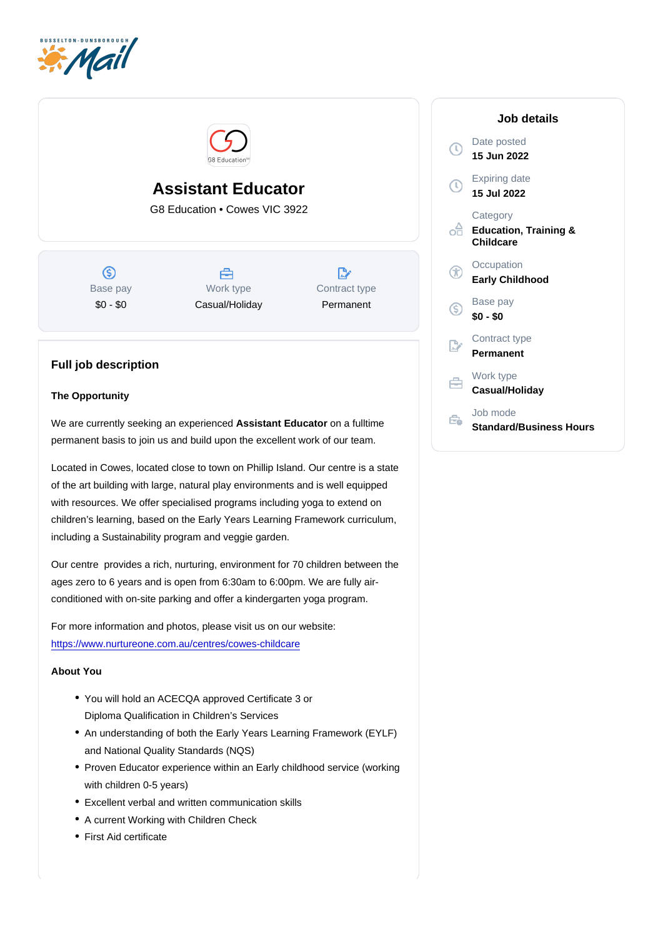# Assistant Educator

G8 Education • Cowes VIC 3922

Base pay \$0 - \$0

Work type Casual/Holiday Contract type Permanent

# Full job description

### The Opportunity

We are currently seeking an experienced Assistant Educator on a fulltime permanent basis to join us and build upon the excellent work of our team.

Located in Cowes, located close to town on Phillip Island. Our centre is a state of the art building with large, natural play environments and is well equipped with resources. We offer specialised programs including yoga to extend on children's learning, based on the Early Years Learning Framework curriculum, including a Sustainability program and veggie garden.

Our centre provides a rich, nurturing, environment for 70 children between the ages zero to 6 years and is open from 6:30am to 6:00pm. We are fully airconditioned with on-site parking and offer a kindergarten yoga program.

For more information and photos, please visit us on our website: [https://www.nurtureone.com.au/centres/cowes-childcare](https://www.nurtureone.com.au/centres/cowes-childcare/?utm_source=google&utm_medium=organic&utm_campaign=gmb)

#### About You

- You will hold an ACECQA approved Certificate 3 or Diploma Qualification in Children's Services
- An understanding of both the Early Years Learning Framework (EYLF) and National Quality Standards (NQS)
- Proven Educator experience within an Early childhood service (working with children 0-5 years)
- Excellent verbal and written communication skills
- A current Working with Children Check
- First Aid certificate

## Job details

Date posted 15 Jun 2022

Expiring date 15 Jul 2022

**Category** Education, Training & **Childcare** 

**Occupation** Early Childhood

Base pay \$0 - \$0

Contract type Permanent

Work type Casual/Holiday

Job mode Standard/Business Hours